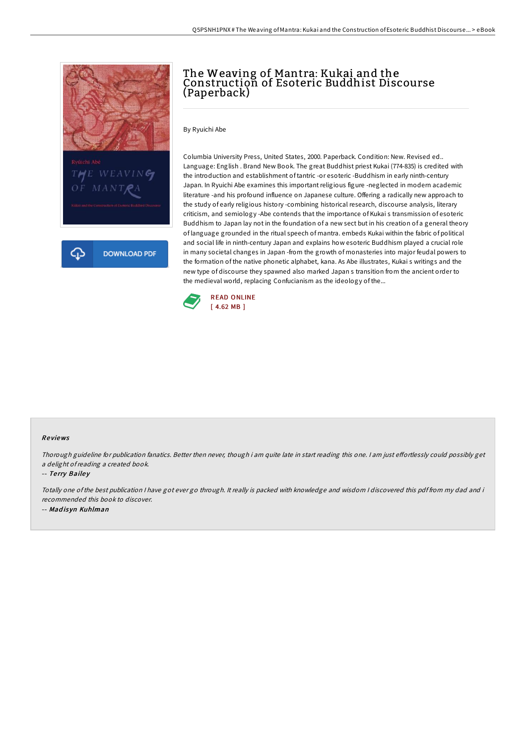

## The Weaving of Mantra: Kukai and the Construction of Esoteric Buddhist Discourse (Paperback)

By Ryuichi Abe

Columbia University Press, United States, 2000. Paperback. Condition: New. Revised ed.. Language: English . Brand New Book. The great Buddhist priest Kukai (774-835) is credited with the introduction and establishment of tantric -or esoteric -Buddhism in early ninth-century Japan. In Ryuichi Abe examines this important religious figure -neglected in modern academic literature -and his profound influence on Japanese culture. Offering a radically new approach to the study of early religious history -combining historical research, discourse analysis, literary criticism, and semiology -Abe contends that the importance of Kukai s transmission of esoteric Buddhism to Japan lay not in the foundation of a new sect but in his creation of a general theory of language grounded in the ritual speech of mantra. embeds Kukai within the fabric of political and social life in ninth-century Japan and explains how esoteric Buddhism played a crucial role in many societal changes in Japan -from the growth of monasteries into major feudal powers to the formation of the native phonetic alphabet, kana. As Abe illustrates, Kukai s writings and the new type of discourse they spawned also marked Japan s transition from the ancient order to the medieval world, replacing Confucianism as the ideology of the...



## Re views

Thorough guideline for publication fanatics. Better then never, though i am quite late in start reading this one. I am just effortlessly could possibly get <sup>a</sup> delight ofreading <sup>a</sup> created book.

-- Terry Bailey

Totally one of the best publication <sup>I</sup> have got ever go through. It really is packed with knowledge and wisdom <sup>I</sup> discovered this pdf from my dad and i recommended this book to discover. -- Mad is yn Kuhlman